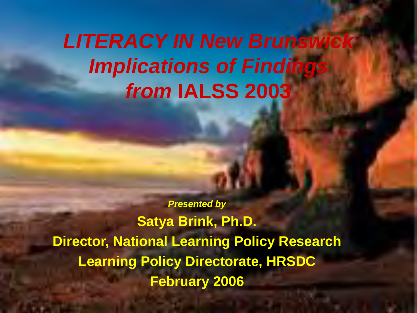# *LITERACY IN New Brunswick Implications of Findings from* **IALSS 2003**

*Presented by* **Satya Brink, Ph.D. Director, National Learning Policy Research Learning Policy Directorate, HRSDC February 2006**

HRSDC-Learning Policy Directorate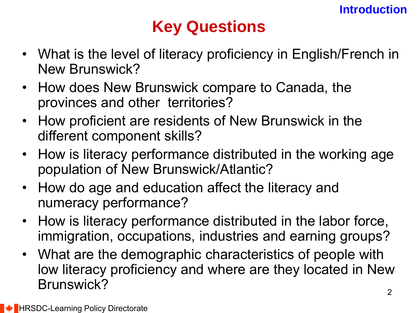## **Key Questions**

- What is the level of literacy proficiency in English/French in New Brunswick?
- How does New Brunswick compare to Canada, the provinces and other territories?
- How proficient are residents of New Brunswick in the different component skills?
- How is literacy performance distributed in the working age population of New Brunswick/Atlantic?
- How do age and education affect the literacy and numeracy performance?
- How is literacy performance distributed in the labor force, immigration, occupations, industries and earning groups?
- What are the demographic characteristics of people with low literacy proficiency and where are they located in New Brunswick?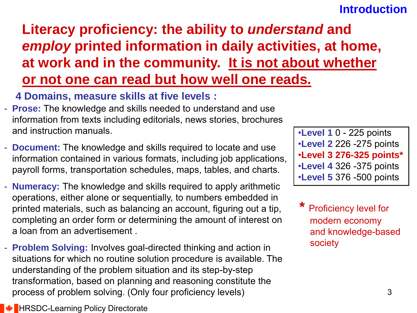### **Introduction**

## **Literacy proficiency: the ability to** *understand* **and**  *employ* **printed information in daily activities, at home, at work and in the community. It is not about whether or not one can read but how well one reads.**

### **4 Domains, measure skills at five levels :**

- **Prose:** The knowledge and skills needed to understand and use information from texts including editorials, news stories, brochures and instruction manuals.
- **Document:** The knowledge and skills required to locate and use information contained in various formats, including job applications, payroll forms, transportation schedules, maps, tables, and charts.
- **Numeracy:** The knowledge and skills required to apply arithmetic operations, either alone or sequentially, to numbers embedded in printed materials, such as balancing an account, figuring out a tip, completing an order form or determining the amount of interest on a loan from an advertisement .
- **Problem Solving:** Involves goal-directed thinking and action in situations for which no routine solution procedure is available. The understanding of the problem situation and its step-by-step transformation, based on planning and reasoning constitute the process of problem solving. (Only four proficiency levels)

•**Level 1** 0 - 225 points •**Level 2** 226 -275 points •**Level 3 276-325 points\*** •**Level 4** 326 -375 points •**Level 5** 376 -500 points

**Proficiency level for** modern economy and knowledge-based society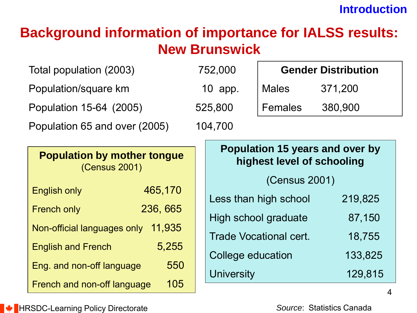### **Introduction**

## **Background information of importance for IALSS results: New Brunswick**

Total population (2003) 752,000

Population/square km 10 app.

Population 15-64 (2005) 525,800

Population 65 and over (2005) 104,700

| <b>Gender Distribution</b> |         |  |  |  |  |  |  |
|----------------------------|---------|--|--|--|--|--|--|
| Males                      | 371,200 |  |  |  |  |  |  |
| $ $ Females                | 380,900 |  |  |  |  |  |  |

| <b>Population by mother tongue</b><br>(Census 2001) |          |  |  |  |  |  |  |
|-----------------------------------------------------|----------|--|--|--|--|--|--|
| <b>English only</b>                                 | 465,170  |  |  |  |  |  |  |
| <b>French only</b>                                  | 236, 665 |  |  |  |  |  |  |
| Non-official languages only                         | 11,935   |  |  |  |  |  |  |
| <b>English and French</b>                           | 5,255    |  |  |  |  |  |  |
| Eng. and non-off language                           | 550      |  |  |  |  |  |  |
| French and non-off language                         | 105      |  |  |  |  |  |  |

| Population 15 years and over by<br>highest level of schooling |         |  |  |  |  |  |  |
|---------------------------------------------------------------|---------|--|--|--|--|--|--|
| (Census 2001)                                                 |         |  |  |  |  |  |  |
| Less than high school                                         | 219,825 |  |  |  |  |  |  |
| High school graduate                                          | 87,150  |  |  |  |  |  |  |
| <b>Trade Vocational cert.</b>                                 | 18,755  |  |  |  |  |  |  |
| College education                                             | 133,825 |  |  |  |  |  |  |
| <b>University</b>                                             | 129,815 |  |  |  |  |  |  |

*Source*: Statistics Canada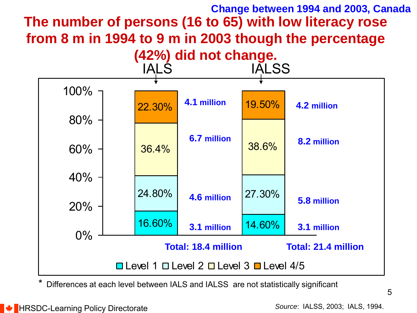## **The number of persons (16 to 65) with low literacy rose from 8 m in 1994 to 9 m in 2003 though the percentage Change between 1994 and 2003, Canada**



Differences at each level between IALS and IALSS are not statistically significant

*Source*: IALSS, 2003; IALS, 1994.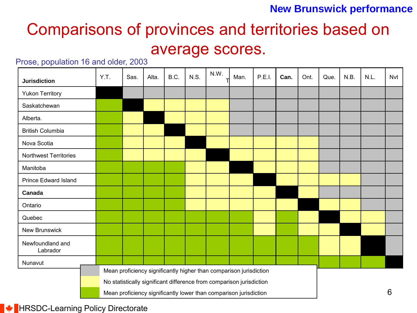## Comparisons of provinces and territories based on average scores.

#### Prose, population 16 and older, 2003

| <b>Jurisdiction</b>          | Y.T. | Sas. | Alta. | B.C. | N.S. | N.W. | Man.                                                                 | P.E.I. | Can. | Ont. | Que. | N.B. | N.L. | Nvt |
|------------------------------|------|------|-------|------|------|------|----------------------------------------------------------------------|--------|------|------|------|------|------|-----|
| <b>Yukon Territory</b>       |      |      |       |      |      |      |                                                                      |        |      |      |      |      |      |     |
| Saskatchewan                 |      |      |       |      |      |      |                                                                      |        |      |      |      |      |      |     |
| Alberta.                     |      |      |       |      |      |      |                                                                      |        |      |      |      |      |      |     |
| <b>British Columbia</b>      |      |      |       |      |      |      |                                                                      |        |      |      |      |      |      |     |
| Nova Scotia                  |      |      |       |      |      |      |                                                                      |        |      |      |      |      |      |     |
| Northwest Territories        |      |      |       |      |      |      |                                                                      |        |      |      |      |      |      |     |
| Manitoba                     |      |      |       |      |      |      |                                                                      |        |      |      |      |      |      |     |
| <b>Prince Edward Island</b>  |      |      |       |      |      |      |                                                                      |        |      |      |      |      |      |     |
| Canada                       |      |      |       |      |      |      |                                                                      |        |      |      |      |      |      |     |
| Ontario                      |      |      |       |      |      |      |                                                                      |        |      |      |      |      |      |     |
| Quebec                       |      |      |       |      |      |      |                                                                      |        |      |      |      |      |      |     |
| <b>New Brunswick</b>         |      |      |       |      |      |      |                                                                      |        |      |      |      |      |      |     |
| Newfoundland and<br>Labrador |      |      |       |      |      |      |                                                                      |        |      |      |      |      |      |     |
| Nunavut                      |      |      |       |      |      |      |                                                                      |        |      |      |      |      |      |     |
|                              |      |      |       |      |      |      | Mean proficiency significantly higher than comparison jurisdiction   |        |      |      |      |      |      |     |
|                              |      |      |       |      |      |      | No statistically significant difference from comparison jurisdiction |        |      |      |      |      |      |     |
|                              |      |      |       |      |      |      | Mean proficiency significantly lower than comparison jurisdiction    |        |      |      |      |      |      | 6   |

**EXAMPLE HRSDC-Learning Policy Directorate**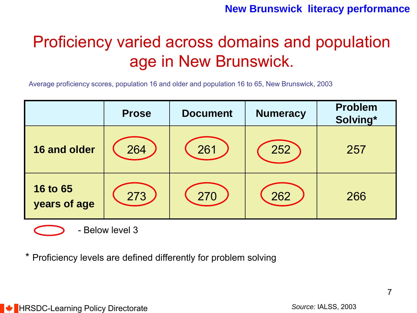## Proficiency varied across domains and population age in New Brunswick.

Average proficiency scores, population 16 and older and population 16 to 65, New Brunswick, 2003

|                                 | <b>Prose</b> | <b>Document</b> | <b>Numeracy</b> | <b>Problem</b><br>Solving* |
|---------------------------------|--------------|-----------------|-----------------|----------------------------|
| 16 and older                    | 264          | 261             | 252             | 257                        |
| <b>16 to 65</b><br>years of age | 273          | 270             | 262             | 266                        |



\* Proficiency levels are defined differently for problem solving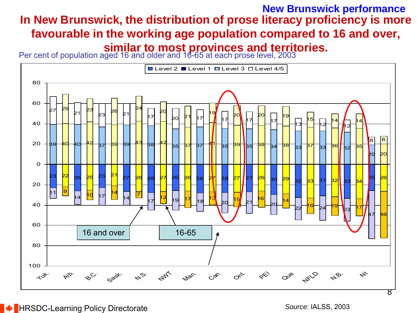### **In New Brunswick, the distribution of prose literacy proficiency is more favourable in the working age population compared to 16 and over, similar to most provinces and territories. New Brunswick performance**



*Source:* IALSS, 2003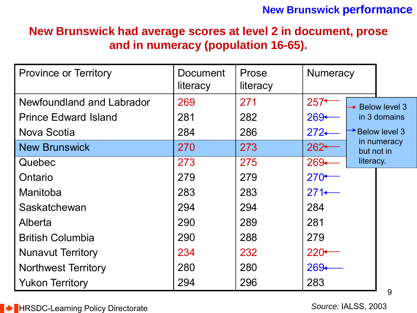### **New Brunswick had average scores at level 2 in document, prose and in numeracy (population 16-65).**

| <b>Province or Territory</b> | Document<br>literacy | Prose<br>literacy | <b>Numeracy</b>  |            |                             |
|------------------------------|----------------------|-------------------|------------------|------------|-----------------------------|
| Newfoundland and Labrador    | 269                  | 271               | $257+$           |            | $\rightarrow$ Below level 3 |
| <b>Prince Edward Island</b>  | 281                  | 282               | $269+$           |            | in 3 domains                |
| Nova Scotia                  | 284                  | 286               | $272-$           |            | <b>Below level 3</b>        |
| <b>New Brunswick</b>         | 270                  | 273               | $262 -$          | but not in | in numeracy                 |
| Quebec                       | 273                  | 275               | $269 -$          | literacy.  |                             |
| Ontario                      | 279                  | 279               | $270 -$          |            |                             |
| Manitoba                     | 283                  | 283               | $271 \leftarrow$ |            |                             |
| Saskatchewan                 | 294                  | 294               | 284              |            |                             |
| Alberta                      | 290                  | 289               | 281              |            |                             |
| <b>British Columbia</b>      | 290                  | 288               | 279              |            |                             |
| <b>Nunavut Territory</b>     | 234                  | 232               | $220+$           |            |                             |
| <b>Northwest Territory</b>   | 280                  | 280               | 269←             |            |                             |
| <b>Yukon Territory</b>       | 294                  | 296               | 283              |            | 9                           |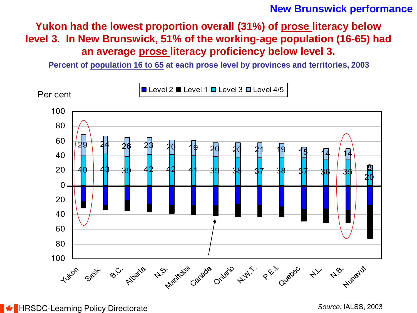### **Yukon had the lowest proportion overall (31%) of prose literacy below level 3. In New Brunswick, 51% of the working-age population (16-65) had an average prose literacy proficiency below level 3.**

**Percent of population 16 to 65 at each prose level by provinces and territories, 2003**

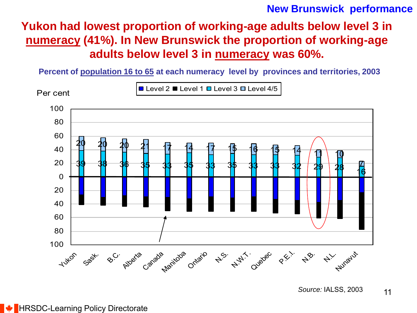### **Yukon had lowest proportion of working-age adults below level 3 in numeracy (41%). In New Brunswick the proportion of working-age adults below level 3 in numeracy was 60%.**

**Percent of population 16 to 65 at each numeracy level by provinces and territories, 2003**

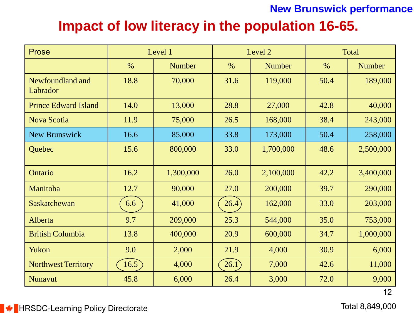## **Impact of low literacy in the population 16-65.**

| <b>Prose</b>                 |               | Level 1       |       | Level 2       | Total |               |  |
|------------------------------|---------------|---------------|-------|---------------|-------|---------------|--|
|                              | $\frac{0}{0}$ | <b>Number</b> | $\%$  | <b>Number</b> | $\%$  | <b>Number</b> |  |
| Newfoundland and<br>Labrador | 18.8          | 70,000        | 31.6  | 119,000       | 50.4  | 189,000       |  |
| <b>Prince Edward Island</b>  | 14.0          | 13,000        | 28.8  | 27,000        | 42.8  | 40,000        |  |
| Nova Scotia                  | 11.9          | 75,000        | 26.5  | 168,000       | 38.4  | 243,000       |  |
| <b>New Brunswick</b>         | 16.6          | 85,000        | 33.8  | 173,000       | 50.4  | 258,000       |  |
| Quebec                       | 15.6          | 800,000       | 33.0  | 1,700,000     | 48.6  | 2,500,000     |  |
| Ontario                      | 16.2          | 1,300,000     | 26.0  | 2,100,000     | 42.2  | 3,400,000     |  |
| Manitoba                     | 12.7          | 90,000        | 27.0  | 200,000       | 39.7  | 290,000       |  |
| <b>Saskatchewan</b>          | 6.6           | 41,000        | 26.4  | 162,000       | 33.0  | 203,000       |  |
| Alberta                      | 9.7           | 209,000       | 25.3  | 544,000       | 35.0  | 753,000       |  |
| <b>British Columbia</b>      | 13.8          | 400,000       | 20.9  | 600,000       | 34.7  | 1,000,000     |  |
| Yukon                        | 9.0           | 2,000         | 21.9  | 4,000         | 30.9  | 6,000         |  |
| <b>Northwest Territory</b>   | 16.5          | 4,000         | 26.1) | 7,000         | 42.6  | 11,000        |  |
| <b>Nunavut</b>               | 45.8          | 6,000         | 26.4  | 3,000         | 72.0  | 9,000         |  |

12

**EXAMPLE HRSDC-Learning Policy Directorate** 

Total 8,849,000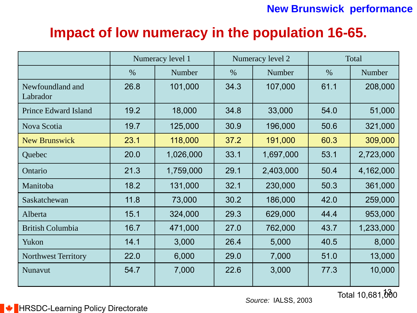## **Impact of low numeracy in the population 16-65.**

|                              |               | Numeracy level 1 |      | Numeracy level 2 |      | Total     |  |
|------------------------------|---------------|------------------|------|------------------|------|-----------|--|
|                              | $\frac{0}{0}$ | Number           | $\%$ | Number           | $\%$ | Number    |  |
| Newfoundland and<br>Labrador | 26.8          | 101,000          | 34.3 | 107,000          | 61.1 | 208,000   |  |
| <b>Prince Edward Island</b>  | 19.2          | 18,000           | 34.8 | 33,000           | 54.0 | 51,000    |  |
| Nova Scotia                  | 19.7          | 125,000          | 30.9 | 196,000          | 50.6 | 321,000   |  |
| <b>New Brunswick</b>         | 23.1          | 118,000          | 37.2 | 191,000          | 60.3 | 309,000   |  |
| Quebec                       | 20.0          | 1,026,000        | 33.1 | 1,697,000        | 53.1 | 2,723,000 |  |
| Ontario                      | 21.3          | 1,759,000        | 29.1 | 2,403,000        | 50.4 | 4,162,000 |  |
| Manitoba                     | 18.2          | 131,000          | 32.1 | 230,000          | 50.3 | 361,000   |  |
| Saskatchewan                 | 11.8          | 73,000           | 30.2 | 186,000          | 42.0 | 259,000   |  |
| Alberta                      | 15.1          | 324,000          | 29.3 | 629,000          | 44.4 | 953,000   |  |
| <b>British Columbia</b>      | 16.7          | 471,000          | 27.0 | 762,000          | 43.7 | 1,233,000 |  |
| Yukon                        | 14.1          | 3,000            | 26.4 | 5,000            | 40.5 | 8,000     |  |
| <b>Northwest Territory</b>   | 22.0          | 6,000            | 29.0 | 7,000            | 51.0 | 13,000    |  |
| Nunavut                      | 54.7          | 7,000            | 22.6 | 3,000            | 77.3 | 10,000    |  |

**Source: IALSS, 2003** 

Total 10,681,000

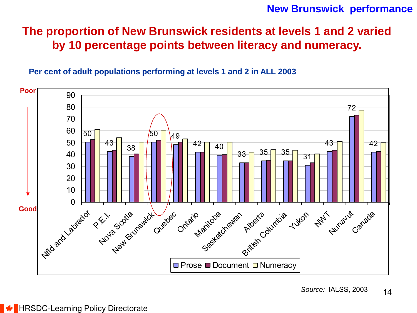### **The proportion of New Brunswick residents at levels 1 and 2 varied by 10 percentage points between literacy and numeracy.**

**Per cent of adult populations performing at levels 1 and 2 in ALL 2003** 

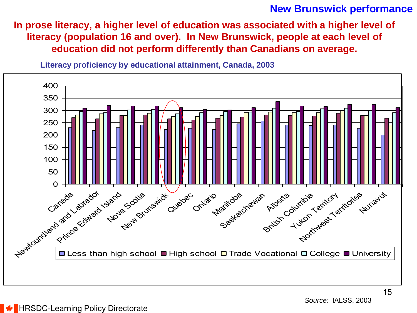**In prose literacy, a higher level of education was associated with a higher level of literacy (population 16 and over). In New Brunswick, people at each level of education did not perform differently than Canadians on average.**

**Literacy proficiency by educational attainment, Canada, 2003**

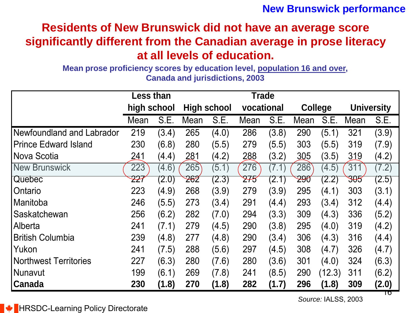### **Residents of New Brunswick did not have an average score significantly different from the Canadian average in prose literacy at all levels of education.**

**Mean prose proficiency scores by education level, population 16 and over, Canada and jurisdictions, 2003**

|                              | <b>Less than</b> |       |                    |       | <b>Trade</b> |       |                 |        |                   |       |
|------------------------------|------------------|-------|--------------------|-------|--------------|-------|-----------------|--------|-------------------|-------|
|                              | high school      |       | <b>High school</b> |       | vocational   |       | <b>College</b>  |        | <b>University</b> |       |
|                              | Mean             | S.E.  | Mean               | S.E.  | Mean         | S.E.  | Mean            | S.E.   | Mean              | S.E.  |
| Newfoundland and Labrador    | 219              | (3.4) | 265                | (4.0) | 286          | (3.8) | 290             | (5.1)  | 321               | (3.9) |
| <b>IPrince Edward Island</b> | 230              | (6.8) | 280                | (5.5) | 279          | (5.5) | 303             | (5.5)  | 319               | (7.9) |
| INova Scotia                 | 241              | (4.4) | 281                | (4.2) | 288          | (3.2) | 305             | (3.5)  | 319               | (4.2) |
| <b>New Brunswick</b>         | 223              | (4.6) | 265                | (5.1) | 276          | (7.1) | 286             | (4.5)  | 311               | (7.2) |
| <b>Quebec</b>                | <del>22</del> 7  | (2.0) | 262                | (2.3) | 275          | (2.1) | <del>29</del> 0 | (2.2)  | <del>305</del>    | (2.5) |
| l Ontario                    | 223              | (4.9) | 268                | (3.9) | 279          | (3.9) | 295             | (4.1)  | 303               | (3.1) |
| l Manitoba                   | 246              | (5.5) | 273                | (3.4) | 291          | (4.4) | 293             | (3.4)  | 312               | (4.4) |
| l Saskatchewan               | 256              | (6.2) | 282                | (7.0) | 294          | (3.3) | 309             | (4.3)  | 336               | (5.2) |
| <b>Alberta</b>               | 241              | (7.1) | 279                | (4.5) | 290          | (3.8) | 295             | (4.0)  | 319               | (4.2) |
| <b>British Columbia</b>      | 239              | (4.8) | 277                | (4.8) | 290          | (3.4) | 306             | (4.3)  | 316               | (4.4) |
| l Yukon                      | 241              | (7.5) | 288                | (5.6) | 297          | (4.5) | 308             | (4.7)  | 326               | (4.7) |
| <b>Northwest Territories</b> | 227              | (6.3) | 280                | (7.6) | 280          | (3.6) | 301             | (4.0)  | 324               | (6.3) |
| <b>Nunavut</b>               | 199              | (6.1) | 269                | (7.8) | 241          | (8.5) | 290             | (12.3) | 311               | (6.2) |
| <b>Canada</b>                | 230              | (1.8) | 270                | (1.8) | 282          | (1.7) | 296             | (1.8)  | 309               | (2.0) |

१०

**HRSDC-Learning Policy Directorate**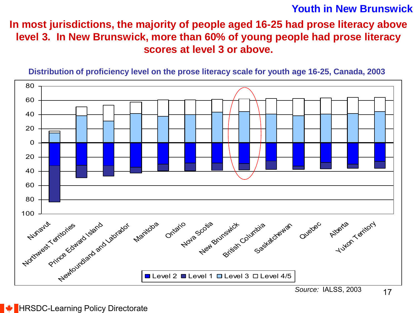#### **Youth in New Brunswick**

### **In most jurisdictions, the majority of people aged 16-25 had prose literacy above level 3. In New Brunswick, more than 60% of young people had prose literacy scores at level 3 or above.**



**Distribution of proficiency level on the prose literacy scale for youth age 16-25, Canada, 2003**

*Source:* IALSS, 2003

#### $\bigstar$  HRSDC-Learning Policy Directorate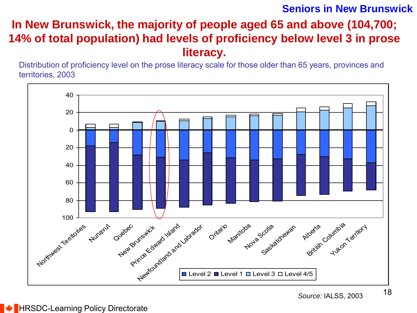#### **Seniors in New Brunswick**

### **In New Brunswick, the majority of people aged 65 and above (104,700; 14% of total population) had levels of proficiency below level 3 in prose literacy.**

Distribution of proficiency level on the prose literacy scale for those older than 65 years, provinces and territories, 2003



#### **HRSDC-Learning Policy Directorate**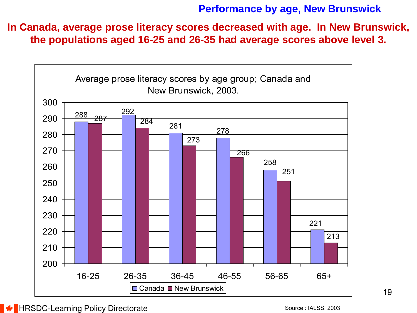#### **Performance by age, New Brunswick**

**In Canada, average prose literacy scores decreased with age. In New Brunswick, the populations aged 16-25 and 26-35 had average scores above level 3.**



 $\bigstar$  HRSDC-Learning Policy Directorate

Source : IALSS, 2003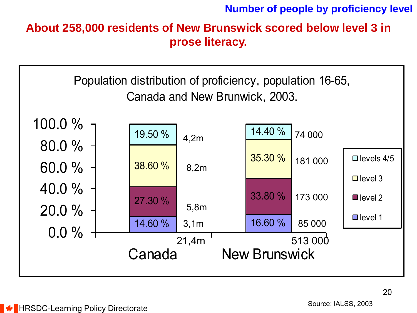**Number of people by proficiency level**

**About 258,000 residents of New Brunswick scored below level 3 in prose literacy.** 

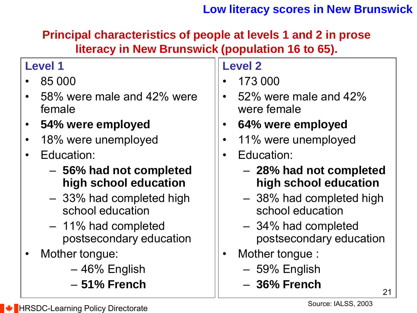### **Low literacy scores in New Brunswick**

**Principal characteristics of people at levels 1 and 2 in prose literacy in New Brunswick (population 16 to 65).**

### **Level 1**

- 85 000
- 58% were male and 42% were female
- **54% were employed**
- 18% were unemployed
- Education:
	- **56% had not completed high school education**
	- 33% had completed high school education
	- 11% had completed postsecondary education
- Mother tongue:
	- 46% English
	- **51% French**

### **Level 2**

- 173 000
- 52% were male and 42% were female
- **64% were employed**
- 11% were unemployed
- Education:
	- **28% had not completed high school education**
	- 38% had completed high school education
	- 34% had completed postsecondary education
- Mother tongue :
	- 59% English
	- **36% French**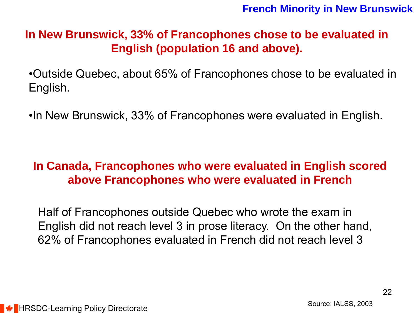#### **French Minority in New Brunswick**

### **In New Brunswick, 33% of Francophones chose to be evaluated in English (population 16 and above).**

•Outside Quebec, about 65% of Francophones chose to be evaluated in English.

•In New Brunswick, 33% of Francophones were evaluated in English.

### **In Canada, Francophones who were evaluated in English scored above Francophones who were evaluated in French**

Half of Francophones outside Quebec who wrote the exam in English did not reach level 3 in prose literacy. On the other hand, 62% of Francophones evaluated in French did not reach level 3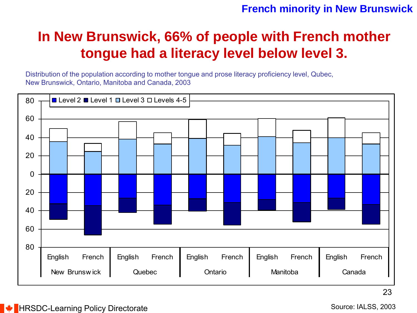#### **French minority in New Brunswick**

## **In New Brunswick, 66% of people with French mother tongue had a literacy level below level 3.**

Distribution of the population according to mother tongue and prose literacy proficiency level, Qubec, New Brunswick, Ontario, Manitoba and Canada, 2003



**HRSDC-Learning Policy Directorate**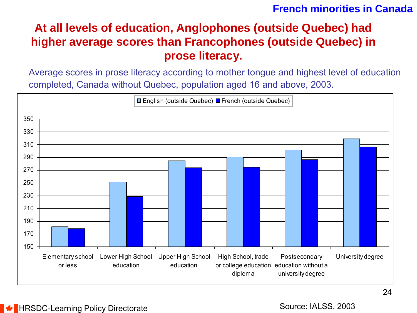### **French minorities in Canada**

### **At all levels of education, Anglophones (outside Quebec) had higher average scores than Francophones (outside Quebec) in prose literacy.**

Average scores in prose literacy according to mother tongue and highest level of education completed, Canada without Quebec, population aged 16 and above, 2003.



Source: IALSS, 2003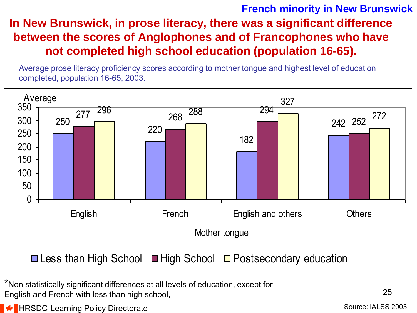### **In New Brunswick, in prose literacy, there was a significant difference between the scores of Anglophones and of Francophones who have not completed high school education (population 16-65). French minority in New Brunswick**

Average prose literacy proficiency scores according to mother tongue and highest level of education completed, population 16-65, 2003.



English and French with less than high school,

 $\bigstar$  HRSDC-Learning Policy Directorate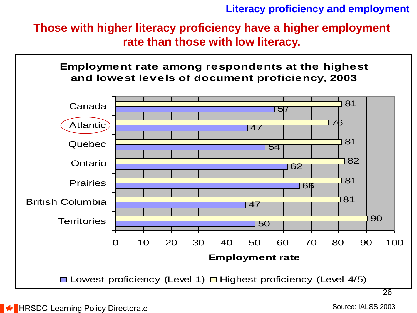**Literacy proficiency and employment**

**Those with higher literacy proficiency have a higher employment rate than those with low literacy.** 



Source: IALSS 2003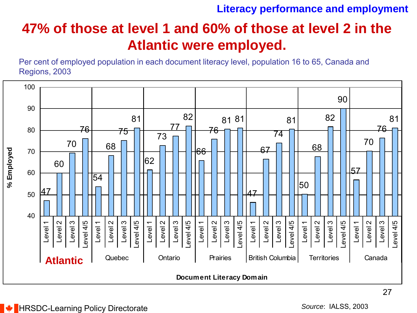#### **Literacy performance and employment**

## **47% of those at level 1 and 60% of those at level 2 in the Atlantic were employed.**

Per cent of employed population in each document literacy level, population 16 to 65, Canada and Regions, 2003

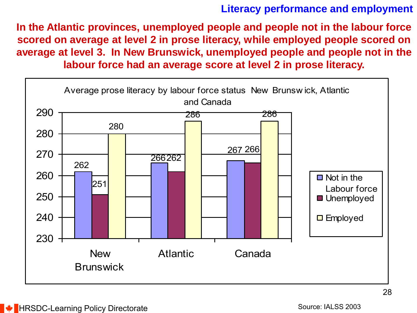#### **Literacy performance and employment**

**In the Atlantic provinces, unemployed people and people not in the labour force scored on average at level 2 in prose literacy, while employed people scored on average at level 3. In New Brunswick, unemployed people and people not in the** 

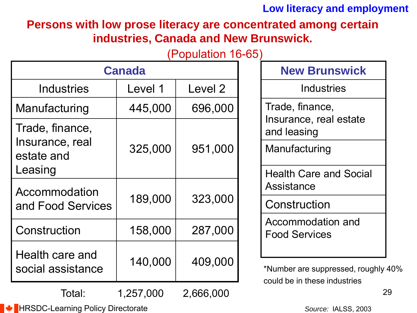### **Low literacy and employment**

### **Persons with low prose literacy are concentrated among certain industries, Canada and New Brunswick.**

### (Population 16-65)

|                                      | <b>Canada</b> | <b>New Brunswick</b> |                                                                     |
|--------------------------------------|---------------|----------------------|---------------------------------------------------------------------|
| <b>Industries</b>                    | Level 1       | Level 2              | <b>Industries</b>                                                   |
| Manufacturing                        | 445,000       | 696,000              | Trade, finance,                                                     |
| Trade, finance,                      |               |                      | Insurance, real estate<br>and leasing                               |
| Insurance, real<br>estate and        | 325,000       | 951,000              | Manufacturing                                                       |
| Leasing                              |               |                      | <b>Health Care and Social</b>                                       |
| Accommodation                        | 189,000       | 323,000              | Assistance                                                          |
| and Food Services                    |               |                      | Construction                                                        |
| Construction                         | 158,000       | 287,000              | Accommodation and<br><b>Food Services</b>                           |
| Health care and<br>social assistance | 140,000       | 409,000              | *Number are suppressed, roughly 40%<br>could be in these industries |

1,257,000 2,666,000

29

**EXAMPLE HRSDC-Learning Policy Directorate** 

Total:

*Source:* IALSS, 2003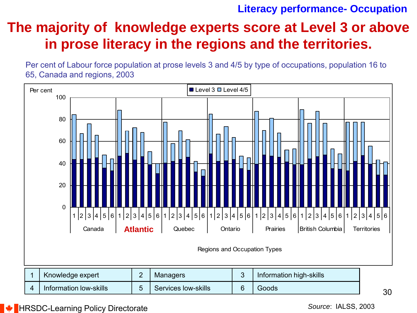#### **Literacy performance- Occupation**

## **The majority of knowledge experts score at Level 3 or above in prose literacy in the regions and the territories.**

Per cent of Labour force population at prose levels 3 and 4/5 by type of occupations, population 16 to 65, Canada and regions, 2003



*Source*: IALSS, 2003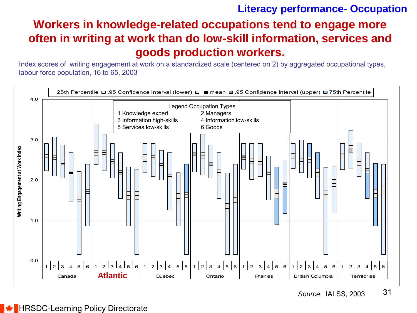### **Literacy performance- Occupation**

### **Workers in knowledge-related occupations tend to engage more often in writing at work than do low-skill information, services and goods production workers.**

Index scores of writing engagement at work on a standardized scale (centered on 2) by aggregated occupational types, labour force population, 16 to 65, 2003

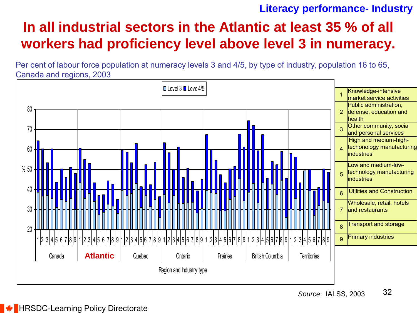#### **Literacy performance- Industry**

## **In all industrial sectors in the Atlantic at least 35 % of all workers had proficiency level above level 3 in numeracy.**

Per cent of labour force population at numeracy levels 3 and 4/5, by type of industry, population 16 to 65, Canada and regions, 2003

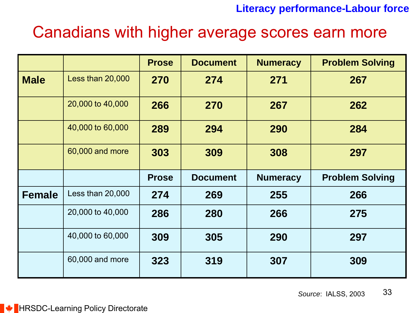#### **Literacy performance-Labour force**

## Canadians with higher average scores earn more

|               |                  | <b>Prose</b> | <b>Document</b> | <b>Numeracy</b> | <b>Problem Solving</b> |
|---------------|------------------|--------------|-----------------|-----------------|------------------------|
| <b>Male</b>   | Less than 20,000 | 270          | 274             | 271             | 267                    |
|               | 20,000 to 40,000 | 266          | 270             | 267             | 262                    |
|               | 40,000 to 60,000 | 289          | 294             | 290             | 284                    |
|               | 60,000 and more  | 303          | 309             | 308             | 297                    |
|               |                  | <b>Prose</b> | <b>Document</b> | <b>Numeracy</b> | <b>Problem Solving</b> |
| <b>Female</b> | Less than 20,000 | 274          | 269             | 255             | 266                    |
|               | 20,000 to 40,000 | 286          | 280             | 266             | 275                    |
|               | 40,000 to 60,000 | 309          | 305             | 290             | 297                    |
|               |                  |              |                 |                 |                        |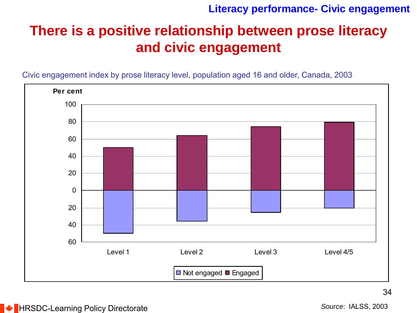#### **Literacy performance- Civic engagement**

## **There is a positive relationship between prose literacy and civic engagement**

Civic engagement index by prose literacy level, population aged 16 and older, Canada, 2003



**E** HRSDC-Learning Policy Directorate

*Source*: IALSS, 2003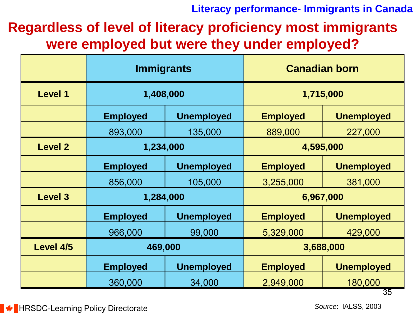**Literacy performance- Immigrants in Canada**

**Regardless of level of literacy proficiency most immigrants were employed but were they under employed?**

|                | <b>Immigrants</b> |                   | <b>Canadian born</b> |                   |  |  |
|----------------|-------------------|-------------------|----------------------|-------------------|--|--|
| <b>Level 1</b> | 1,408,000         |                   | 1,715,000            |                   |  |  |
|                | <b>Employed</b>   | <b>Unemployed</b> | <b>Employed</b>      | <b>Unemployed</b> |  |  |
|                | 893,000           | 135,000           | 889,000              | 227,000           |  |  |
| <b>Level 2</b> | 1,234,000         |                   |                      | 4,595,000         |  |  |
|                | <b>Employed</b>   | <b>Unemployed</b> | <b>Employed</b>      | <b>Unemployed</b> |  |  |
|                | 856,000           | 105,000           | 3,255,000            | 381,000           |  |  |
| <b>Level 3</b> | 1,284,000         |                   |                      | 6,967,000         |  |  |
|                | <b>Employed</b>   | <b>Unemployed</b> | <b>Employed</b>      | <b>Unemployed</b> |  |  |
|                | 966,000           | 99,000            | 5,329,000            | 429,000           |  |  |
| Level 4/5      | 469,000           |                   |                      | 3,688,000         |  |  |
|                | <b>Employed</b>   | <b>Unemployed</b> | <b>Employed</b>      | <b>Unemployed</b> |  |  |
|                | 360,000           | 34,000            | 2,949,000            | 180,000           |  |  |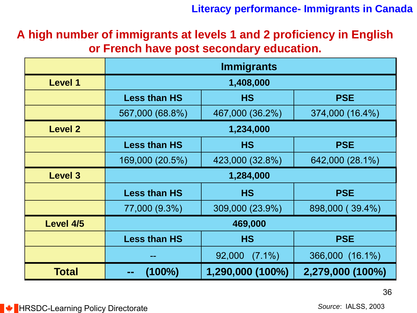**Literacy performance- Immigrants in Canada**

**A high number of immigrants at levels 1 and 2 proficiency in English or French have post secondary education.**

|                | <b>Immigrants</b>   |                     |                  |
|----------------|---------------------|---------------------|------------------|
| <b>Level 1</b> | 1,408,000           |                     |                  |
|                | <b>Less than HS</b> | <b>HS</b>           | <b>PSE</b>       |
|                | 567,000 (68.8%)     | 467,000 (36.2%)     | 374,000 (16.4%)  |
| <b>Level 2</b> | 1,234,000           |                     |                  |
|                | <b>Less than HS</b> | <b>HS</b>           | <b>PSE</b>       |
|                | 169,000 (20.5%)     | 423,000 (32.8%)     | 642,000 (28.1%)  |
| <b>Level 3</b> | 1,284,000           |                     |                  |
|                | <b>Less than HS</b> | <b>HS</b>           | <b>PSE</b>       |
|                | 77,000 (9.3%)       | 309,000 (23.9%)     | 898,000 (39.4%)  |
| Level 4/5      | 469,000             |                     |                  |
|                | <b>Less than HS</b> | <b>HS</b>           | <b>PSE</b>       |
|                |                     | 92,000<br>$(7.1\%)$ | 366,000 (16.1%)  |
| <b>Total</b>   | $(100\%)$           | 1,290,000 (100%)    | 2,279,000 (100%) |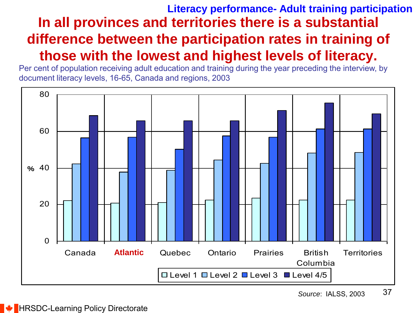## **In all provinces and territories there is a substantial difference between the participation rates in training of those with the lowest and highest levels of literacy. Literacy performance- Adult training participation**

document literacy levels, 16-65, Canada and regions, 2003

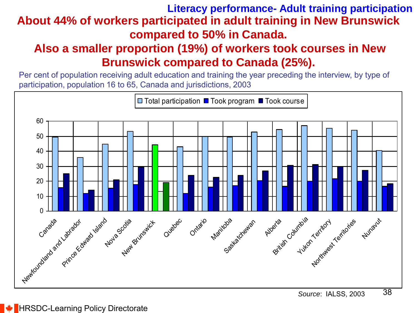### **About 44% of workers participated in adult training in New Brunswick compared to 50% in Canada. Literacy performance- Adult training participation**

### **Also a smaller proportion (19%) of workers took courses in New Brunswick compared to Canada (25%).**

Per cent of population receiving adult education and training the year preceding the interview, by type of participation, population 16 to 65, Canada and jurisdictions, 2003

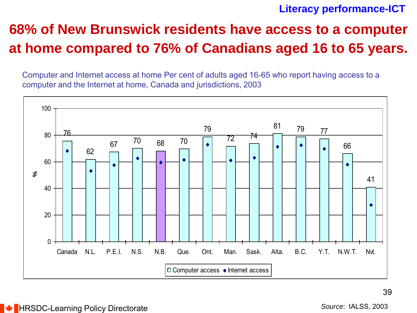#### **Literacy performance-ICT**

## **68% of New Brunswick residents have access to a computer at home compared to 76% of Canadians aged 16 to 65 years.**

Computer and Internet access at home Per cent of adults aged 16-65 who report having access to a computer and the Internet at home, Canada and jurisdictions, 2003

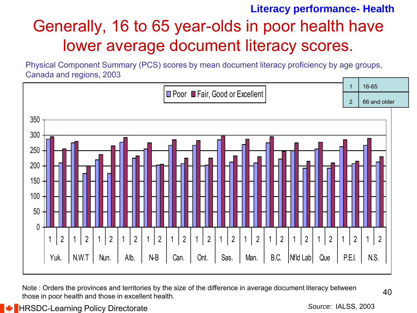## Generally, 16 to 65 year-olds in poor health have lower average document literacy scores. **Literacy performance- Health**

Physical Component Summary (PCS) scores by mean document literacy proficiency by age groups, Canada and regions, 2003



Note : Orders the provinces and territories by the size of the difference in average document literacy between those in poor health and those in excellent health.

40

**HRSDC-Learning Policy Directorate** 

*Source*: IALSS, 2003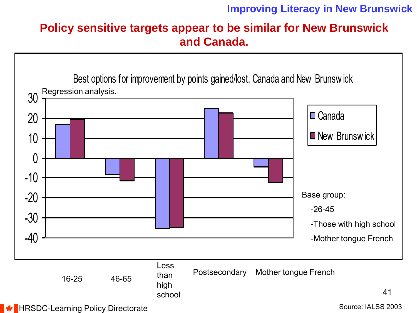#### **Improving Literacy in New Brunswick**

### **Policy sensitive targets appear to be similar for New Brunswick and Canada.**

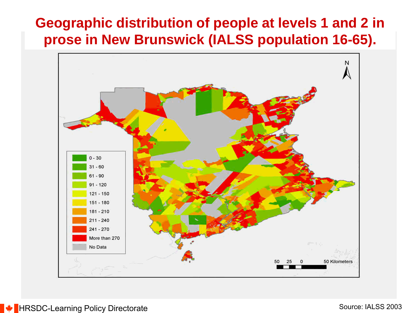## **Geographic distribution of people at levels 1 and 2 in prose in New Brunswick (IALSS population 16-65).**

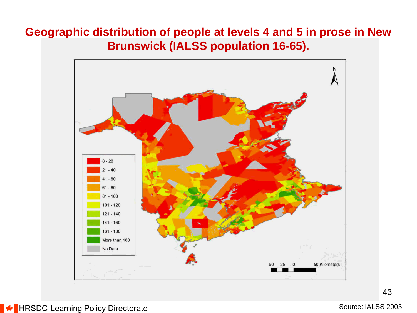### **Geographic distribution of people at levels 4 and 5 in prose in New Brunswick (IALSS population 16-65).**

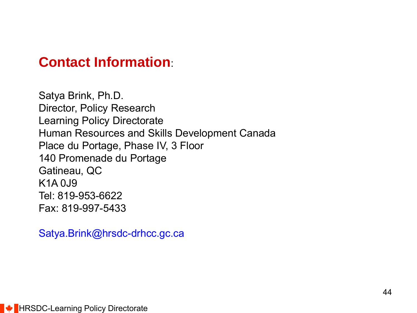### **Contact Information**:

Satya Brink, Ph.D. Director, Policy Research Learning Policy Directorate Human Resources and Skills Development Canada Place du Portage, Phase IV, 3 Floor 140 Promenade du Portage Gatineau, QC K1A 0J9 Tel: 819-953-6622 Fax: 819-997-5433

<Satya.Brink@hrsdc-drhcc.gc.ca>